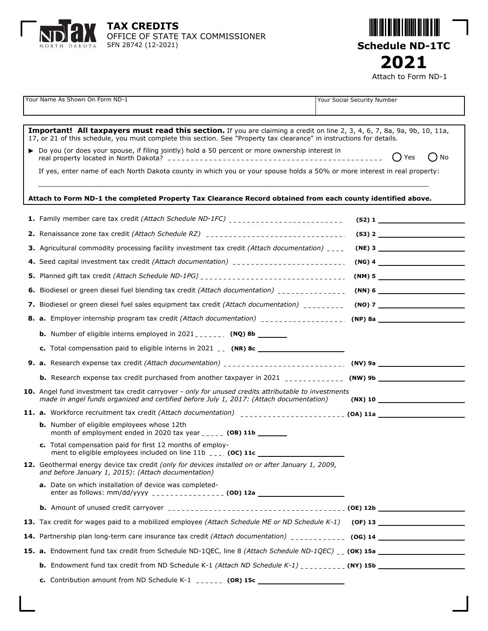



|                                                                                                                                                                                                                                                    | Your Name As Shown On Form ND-1                                                                                                                                                                 | Your Social Security Number |  |  |
|----------------------------------------------------------------------------------------------------------------------------------------------------------------------------------------------------------------------------------------------------|-------------------------------------------------------------------------------------------------------------------------------------------------------------------------------------------------|-----------------------------|--|--|
|                                                                                                                                                                                                                                                    |                                                                                                                                                                                                 |                             |  |  |
| Important! All taxpayers must read this section. If you are claiming a credit on line 2, 3, 4, 6, 7, 8a, 9a, 9b, 10, 11a,<br>17, or 21 of this schedule, you must complete this section. See "Property tax clearance" in instructions for details. |                                                                                                                                                                                                 |                             |  |  |
|                                                                                                                                                                                                                                                    | Do you (or does your spouse, if filing jointly) hold a 50 percent or more ownership interest in                                                                                                 | $()$ Yes<br>$()$ No         |  |  |
|                                                                                                                                                                                                                                                    | If yes, enter name of each North Dakota county in which you or your spouse holds a 50% or more interest in real property:                                                                       |                             |  |  |
| Attach to Form ND-1 the completed Property Tax Clearance Record obtained from each county identified above.                                                                                                                                        |                                                                                                                                                                                                 |                             |  |  |
|                                                                                                                                                                                                                                                    | 1. Family member care tax credit (Attach Schedule ND-1FC) _______________________                                                                                                               | $(52)$ 1                    |  |  |
|                                                                                                                                                                                                                                                    | 2. Renaissance zone tax credit (Attach Schedule RZ) _____________________________                                                                                                               |                             |  |  |
|                                                                                                                                                                                                                                                    | <b>3.</b> Agricultural commodity processing facility investment tax credit (Attach documentation) ____                                                                                          | $(NE)$ 3                    |  |  |
|                                                                                                                                                                                                                                                    | 4. Seed capital investment tax credit (Attach documentation) _________________________                                                                                                          |                             |  |  |
|                                                                                                                                                                                                                                                    | 5. Planned gift tax credit (Attach Schedule ND-1PG) ___________________________________                                                                                                         |                             |  |  |
|                                                                                                                                                                                                                                                    | 6. Biodiesel or green diesel fuel blending tax credit (Attach documentation) _______________                                                                                                    |                             |  |  |
|                                                                                                                                                                                                                                                    | 7. Biodiesel or green diesel fuel sales equipment tax credit (Attach documentation) _________                                                                                                   |                             |  |  |
|                                                                                                                                                                                                                                                    |                                                                                                                                                                                                 |                             |  |  |
|                                                                                                                                                                                                                                                    | <b>b.</b> Number of eligible interns employed in $2021_{-2}$ , (NQ) 8b _______                                                                                                                  |                             |  |  |
|                                                                                                                                                                                                                                                    | c. Total compensation paid to eligible interns in 2021 __ (NR) 8c                                                                                                                               |                             |  |  |
|                                                                                                                                                                                                                                                    |                                                                                                                                                                                                 |                             |  |  |
|                                                                                                                                                                                                                                                    | <b>b.</b> Research expense tax credit purchased from another taxpayer in 2021 $\frac{1}{2}$ $\frac{1}{2}$ $\frac{1}{2}$ (NW) 9b                                                                 |                             |  |  |
|                                                                                                                                                                                                                                                    | 10. Angel fund investment tax credit carryover - only for unused credits attributable to investments<br>made in angel funds organized and certified before July 1, 2017: (Attach documentation) |                             |  |  |
|                                                                                                                                                                                                                                                    |                                                                                                                                                                                                 |                             |  |  |
|                                                                                                                                                                                                                                                    | <b>b.</b> Number of eligible employees whose 12th<br>month of employment ended in 2020 tax year $\overline{a}$ = $\overline{a}$ (OB) 11b _______                                                |                             |  |  |
|                                                                                                                                                                                                                                                    | c. Total compensation paid for first 12 months of employ-<br>ment to eligible employees included on line 11b ____ (OC) 11c ___________                                                          |                             |  |  |
|                                                                                                                                                                                                                                                    | 12. Geothermal energy device tax credit (only for devices installed on or after January 1, 2009,<br>and before January 1, 2015): (Attach documentation)                                         |                             |  |  |
|                                                                                                                                                                                                                                                    | <b>a.</b> Date on which installation of device was completed-                                                                                                                                   |                             |  |  |
|                                                                                                                                                                                                                                                    |                                                                                                                                                                                                 |                             |  |  |
|                                                                                                                                                                                                                                                    | 13. Tax credit for wages paid to a mobilized employee (Attach Schedule ME or ND Schedule K-1) (OF) 13                                                                                           |                             |  |  |
|                                                                                                                                                                                                                                                    |                                                                                                                                                                                                 |                             |  |  |
|                                                                                                                                                                                                                                                    |                                                                                                                                                                                                 |                             |  |  |
|                                                                                                                                                                                                                                                    |                                                                                                                                                                                                 |                             |  |  |
|                                                                                                                                                                                                                                                    |                                                                                                                                                                                                 |                             |  |  |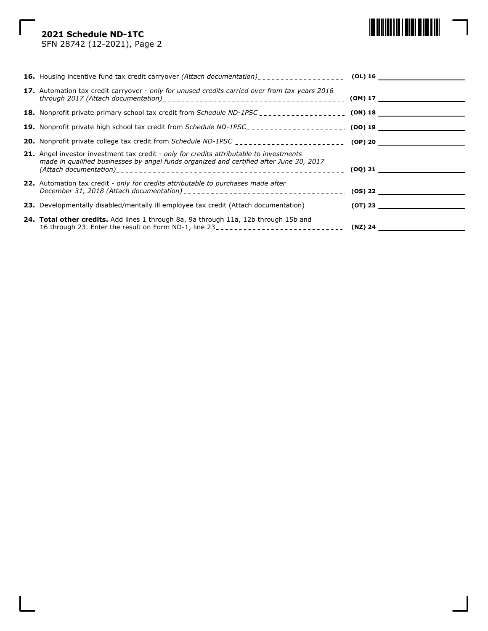# 

# **2021 Schedule ND-1TC** SFN 28742 (12-2021), Page 2

| <b>16.</b> Housing incentive fund tax credit carryover (Attach documentation) <sub>-----------------</sub>                                                                                | $(OL)$ 16                 |
|-------------------------------------------------------------------------------------------------------------------------------------------------------------------------------------------|---------------------------|
| 17. Automation tax credit carryover - only for unused credits carried over from tax years 2016                                                                                            | $(OM)$ 17 $\qquad \qquad$ |
|                                                                                                                                                                                           |                           |
|                                                                                                                                                                                           |                           |
|                                                                                                                                                                                           |                           |
| <b>21.</b> Angel investor investment tax credit - only for credits attributable to investments<br>made in qualified businesses by angel funds organized and certified after June 30, 2017 |                           |
| <b>22.</b> Automation tax credit - only for credits attributable to purchases made after                                                                                                  |                           |
|                                                                                                                                                                                           |                           |
| 24. Total other credits. Add lines 1 through 8a, 9a through 11a, 12b through 15b and                                                                                                      |                           |
|                                                                                                                                                                                           |                           |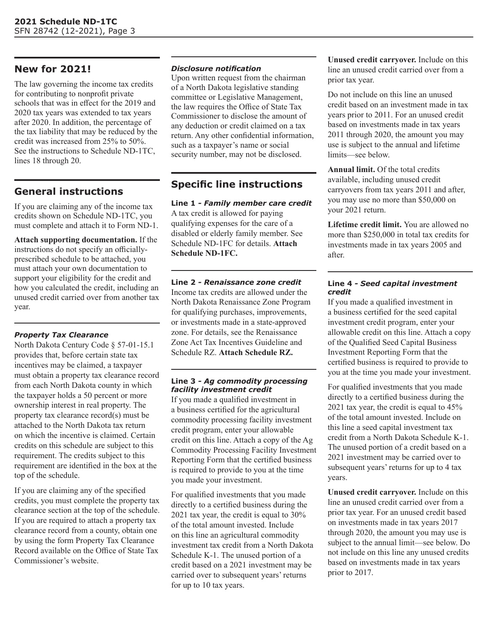# **New for 2021!**

The law governing the income tax credits for contributing to nonprofit private schools that was in effect for the 2019 and 2020 tax years was extended to tax years after 2020. In addition, the percentage of the tax liability that may be reduced by the credit was increased from 25% to 50%. See the instructions to Schedule ND-1TC, lines 18 through 20.

# **General instructions**

If you are claiming any of the income tax credits shown on Schedule ND-1TC, you must complete and attach it to Form ND-1.

**Attach supporting documentation.** If the instructions do not specify an officiallyprescribed schedule to be attached, you must attach your own documentation to support your eligibility for the credit and how you calculated the credit, including an unused credit carried over from another tax year.

# *Property Tax Clearance*

North Dakota Century Code § 57-01-15.1 provides that, before certain state tax incentives may be claimed, a taxpayer must obtain a property tax clearance record from each North Dakota county in which the taxpayer holds a 50 percent or more ownership interest in real property. The property tax clearance record(s) must be attached to the North Dakota tax return on which the incentive is claimed. Certain credits on this schedule are subject to this requirement. The credits subject to this requirement are identified in the box at the top of the schedule.

If you are claiming any of the specified credits, you must complete the property tax clearance section at the top of the schedule. If you are required to attach a property tax clearance record from a county, obtain one by using the form Property Tax Clearance Record available on the Office of State Tax Commissioner's website.

#### *Disclosure notification*

Upon written request from the chairman of a North Dakota legislative standing committee or Legislative Management, the law requires the Office of State Tax Commissioner to disclose the amount of any deduction or credit claimed on a tax return. Any other confidential information, such as a taxpayer's name or social security number, may not be disclosed.

# **Specific line instructions**

**Line 1** *- Family member care credit*

A tax credit is allowed for paying qualifying expenses for the care of a disabled or elderly family member. See Schedule ND-1FC for details. **Attach Schedule ND-1FC.**

#### **Line 2** *- Renaissance zone credit*

Income tax credits are allowed under the North Dakota Renaissance Zone Program for qualifying purchases, improvements, or investments made in a state-approved zone. For details, see the Renaissance Zone Act Tax Incentives Guideline and Schedule RZ. **Attach Schedule RZ.**

#### **Line 3** *- Ag commodity processing facility investment credit*

If you made a qualified investment in a business certified for the agricultural commodity processing facility investment credit program, enter your allowable credit on this line. Attach a copy of the Ag Commodity Processing Facility Investment Reporting Form that the certified business is required to provide to you at the time you made your investment.

For qualified investments that you made directly to a certified business during the 2021 tax year, the credit is equal to 30% of the total amount invested. Include on this line an agricultural commodity investment tax credit from a North Dakota Schedule K-1. The unused portion of a credit based on a 2021 investment may be carried over to subsequent years' returns for up to 10 tax years.

**Unused credit carryover.** Include on this line an unused credit carried over from a prior tax year.

Do not include on this line an unused credit based on an investment made in tax years prior to 2011. For an unused credit based on investments made in tax years 2011 through 2020, the amount you may use is subject to the annual and lifetime limits—see below.

**Annual limit.** Of the total credits available, including unused credit carryovers from tax years 2011 and after, you may use no more than \$50,000 on your 2021 return.

**Lifetime credit limit.** You are allowed no more than \$250,000 in total tax credits for investments made in tax years 2005 and after.

#### **Line 4** *- Seed capital investment credit*

If you made a qualified investment in a business certified for the seed capital investment credit program, enter your allowable credit on this line. Attach a copy of the Qualified Seed Capital Business Investment Reporting Form that the certified business is required to provide to you at the time you made your investment.

For qualified investments that you made directly to a certified business during the 2021 tax year, the credit is equal to 45% of the total amount invested. Include on this line a seed capital investment tax credit from a North Dakota Schedule K-1. The unused portion of a credit based on a 2021 investment may be carried over to subsequent years' returns for up to 4 tax years.

**Unused credit carryover.** Include on this line an unused credit carried over from a prior tax year. For an unused credit based on investments made in tax years 2017 through 2020, the amount you may use is subject to the annual limit—see below. Do not include on this line any unused credits based on investments made in tax years prior to 2017.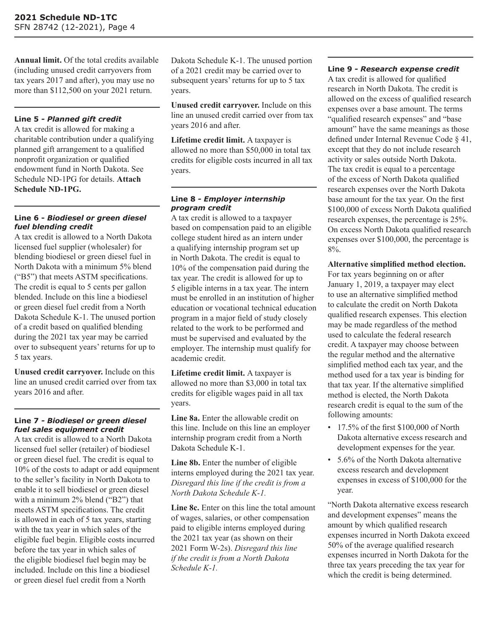**Annual limit.** Of the total credits available (including unused credit carryovers from tax years 2017 and after), you may use no more than \$112,500 on your 2021 return.

#### **Line 5** *- Planned gift credit*

A tax credit is allowed for making a charitable contribution under a qualifying planned gift arrangement to a qualified nonprofit organization or qualified endowment fund in North Dakota. See Schedule ND-1PG for details. **Attach Schedule ND-1PG.**

#### **Line 6 -** *Biodiesel or green diesel fuel blending credit*

A tax credit is allowed to a North Dakota licensed fuel supplier (wholesaler) for blending biodiesel or green diesel fuel in North Dakota with a minimum 5% blend ("B5") that meets ASTM specifications. The credit is equal to 5 cents per gallon blended. Include on this line a biodiesel or green diesel fuel credit from a North Dakota Schedule K-1. The unused portion of a credit based on qualified blending during the 2021 tax year may be carried over to subsequent years' returns for up to 5 tax years.

**Unused credit carryover.** Include on this line an unused credit carried over from tax years 2016 and after.

#### **Line 7** *- Biodiesel or green diesel fuel sales equipment credit*

A tax credit is allowed to a North Dakota licensed fuel seller (retailer) of biodiesel or green diesel fuel. The credit is equal to 10% of the costs to adapt or add equipment to the seller's facility in North Dakota to enable it to sell biodiesel or green diesel with a minimum 2% blend ("B2") that meets ASTM specifications. The credit is allowed in each of 5 tax years, starting with the tax year in which sales of the eligible fuel begin. Eligible costs incurred before the tax year in which sales of the eligible biodiesel fuel begin may be included. Include on this line a biodiesel or green diesel fuel credit from a North

Dakota Schedule K-1. The unused portion of a 2021 credit may be carried over to subsequent years' returns for up to 5 tax years.

**Unused credit carryover.** Include on this line an unused credit carried over from tax years 2016 and after.

**Lifetime credit limit.** A taxpayer is allowed no more than \$50,000 in total tax credits for eligible costs incurred in all tax years.

#### **Line 8** *- Employer internship program credit*

A tax credit is allowed to a taxpayer based on compensation paid to an eligible college student hired as an intern under a qualifying internship program set up in North Dakota. The credit is equal to 10% of the compensation paid during the tax year. The credit is allowed for up to 5 eligible interns in a tax year. The intern must be enrolled in an institution of higher education or vocational technical education program in a major field of study closely related to the work to be performed and must be supervised and evaluated by the employer. The internship must qualify for academic credit.

**Lifetime credit limit.** A taxpayer is allowed no more than \$3,000 in total tax credits for eligible wages paid in all tax years.

**Line 8a.** Enter the allowable credit on this line. Include on this line an employer internship program credit from a North Dakota Schedule K-1.

**Line 8b.** Enter the number of eligible interns employed during the 2021 tax year. *Disregard this line if the credit is from a North Dakota Schedule K-1.*

**Line 8c.** Enter on this line the total amount of wages, salaries, or other compensation paid to eligible interns employed during the 2021 tax year (as shown on their 2021 Form W-2s). *Disregard this line if the credit is from a North Dakota Schedule K-1.*

#### **Line 9** *- Research expense credit*

A tax credit is allowed for qualified research in North Dakota. The credit is allowed on the excess of qualified research expenses over a base amount. The terms "qualified research expenses" and "base amount" have the same meanings as those defined under Internal Revenue Code § 41, except that they do not include research activity or sales outside North Dakota. The tax credit is equal to a percentage of the excess of North Dakota qualified research expenses over the North Dakota base amount for the tax year. On the first \$100,000 of excess North Dakota qualified research expenses, the percentage is 25%. On excess North Dakota qualified research expenses over \$100,000, the percentage is 8%.

#### **Alternative simplified method election.**

For tax years beginning on or after January 1, 2019, a taxpayer may elect to use an alternative simplified method to calculate the credit on North Dakota qualified research expenses. This election may be made regardless of the method used to calculate the federal research credit. A taxpayer may choose between the regular method and the alternative simplified method each tax year, and the method used for a tax year is binding for that tax year. If the alternative simplified method is elected, the North Dakota research credit is equal to the sum of the following amounts:

- $\cdot$  17.5% of the first \$100,000 of North Dakota alternative excess research and development expenses for the year.
- 5.6% of the North Dakota alternative excess research and development expenses in excess of \$100,000 for the year.

"North Dakota alternative excess research and development expenses" means the amount by which qualified research expenses incurred in North Dakota exceed 50% of the average qualified research expenses incurred in North Dakota for the three tax years preceding the tax year for which the credit is being determined.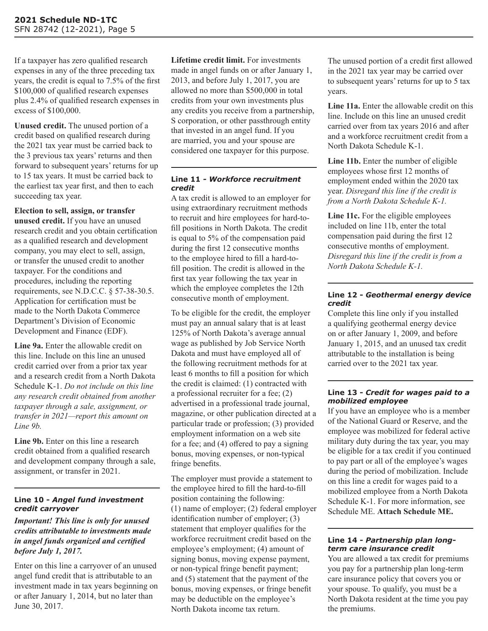If a taxpayer has zero qualified research expenses in any of the three preceding tax years, the credit is equal to 7.5% of the first \$100,000 of qualified research expenses plus 2.4% of qualified research expenses in excess of \$100,000.

**Unused credit.** The unused portion of a credit based on qualified research during the 2021 tax year must be carried back to the 3 previous tax years' returns and then forward to subsequent years' returns for up to 15 tax years. It must be carried back to the earliest tax year first, and then to each succeeding tax year.

**Election to sell, assign, or transfer unused credit.** If you have an unused research credit and you obtain certification as a qualified research and development company, you may elect to sell, assign, or transfer the unused credit to another taxpayer. For the conditions and procedures, including the reporting requirements, see N.D.C.C.  $\S$  57-38-30.5. Application for certification must be made to the North Dakota Commerce Department's Division of Economic Development and Finance (EDF).

**Line 9a.** Enter the allowable credit on this line. Include on this line an unused credit carried over from a prior tax year and a research credit from a North Dakota Schedule K-1. *Do not include on this line any research credit obtained from another taxpayer through a sale, assignment, or transfer in 2021—report this amount on Line 9b.*

**Line 9b.** Enter on this line a research credit obtained from a qualified research and development company through a sale, assignment, or transfer in 2021.

#### **Line 10 -** *Angel fund investment credit carryover*

## *Important! This line is only for unused credits attributable to investments made in angel funds organized and certified before July 1, 2017.*

Enter on this line a carryover of an unused angel fund credit that is attributable to an investment made in tax years beginning on or after January 1, 2014, but no later than June 30, 2017.

**Lifetime credit limit.** For investments made in angel funds on or after January 1, 2013, and before July 1, 2017, you are allowed no more than \$500,000 in total credits from your own investments plus any credits you receive from a partnership, S corporation, or other passthrough entity that invested in an angel fund. If you are married, you and your spouse are considered one taxpayer for this purpose.

## **Line 11** *- Workforce recruitment credit*

A tax credit is allowed to an employer for using extraordinary recruitment methods to recruit and hire employees for hard-tofill positions in North Dakota. The credit is equal to 5% of the compensation paid during the first 12 consecutive months to the employee hired to fill a hard-tofill position. The credit is allowed in the first tax year following the tax year in which the employee completes the 12th consecutive month of employment.

To be eligible for the credit, the employer must pay an annual salary that is at least 125% of North Dakota's average annual wage as published by Job Service North Dakota and must have employed all of the following recruitment methods for at least 6 months to fill a position for which the credit is claimed: (1) contracted with a professional recruiter for a fee; (2) advertised in a professional trade journal, magazine, or other publication directed at a particular trade or profession; (3) provided employment information on a web site for a fee; and (4) offered to pay a signing bonus, moving expenses, or non-typical fringe benefits.

The employer must provide a statement to the employee hired to fill the hard-to-fill position containing the following: (1) name of employer; (2) federal employer identification number of employer; (3) statement that employer qualifies for the workforce recruitment credit based on the employee's employment; (4) amount of signing bonus, moving expense payment, or non-typical fringe benefit payment; and (5) statement that the payment of the bonus, moving expenses, or fringe benefit may be deductible on the employee's North Dakota income tax return.

The unused portion of a credit first allowed in the 2021 tax year may be carried over to subsequent years' returns for up to 5 tax years.

**Line 11a.** Enter the allowable credit on this line. Include on this line an unused credit carried over from tax years 2016 and after and a workforce recruitment credit from a North Dakota Schedule K-1.

**Line 11b.** Enter the number of eligible employees whose first 12 months of employment ended within the 2020 tax year. *Disregard this line if the credit is from a North Dakota Schedule K-1.*

Line 11c. For the eligible employees included on line 11b, enter the total compensation paid during the first 12 consecutive months of employment. *Disregard this line if the credit is from a North Dakota Schedule K-1.*

#### **Line 12 -** *Geothermal energy device credit*

Complete this line only if you installed a qualifying geothermal energy device on or after January 1, 2009, and before January 1, 2015, and an unused tax credit attributable to the installation is being carried over to the 2021 tax year.

#### **Line 13 -** *Credit for wages paid to a mobilized employee*

If you have an employee who is a member of the National Guard or Reserve, and the employee was mobilized for federal active military duty during the tax year, you may be eligible for a tax credit if you continued to pay part or all of the employee's wages during the period of mobilization. Include on this line a credit for wages paid to a mobilized employee from a North Dakota Schedule K-1. For more information, see Schedule ME. **Attach Schedule ME.**

## **Line 14 -** *Partnership plan longterm care insurance credit*

You are allowed a tax credit for premiums you pay for a partnership plan long-term care insurance policy that covers you or your spouse. To qualify, you must be a North Dakota resident at the time you pay the premiums.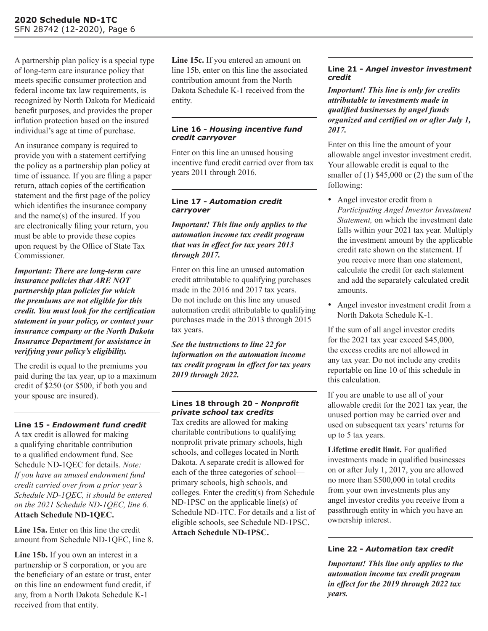A partnership plan policy is a special type of long-term care insurance policy that meets specific consumer protection and federal income tax law requirements, is recognized by North Dakota for Medicaid benefit purposes, and provides the proper inflation protection based on the insured individual's age at time of purchase.

An insurance company is required to provide you with a statement certifying the policy as a partnership plan policy at time of issuance. If you are filing a paper return, attach copies of the certification statement and the first page of the policy which identifies the insurance company and the name(s) of the insured. If you are electronically filing your return, you must be able to provide these copies upon request by the Office of State Tax Commissioner.

*Important: There are long-term care insurance policies that ARE NOT partnership plan policies for which the premiums are not eligible for this credit. You must look for the certification statement in your policy, or contact your insurance company or the North Dakota Insurance Department for assistance in verifying your policy's eligibility.*

The credit is equal to the premiums you paid during the tax year, up to a maximum credit of \$250 (or \$500, if both you and your spouse are insured).

#### **Line 15 -** *Endowment fund credit*

A tax credit is allowed for making a qualifying charitable contribution to a qualified endowment fund. See Schedule ND-1QEC for details. *Note: If you have an unused endowment fund credit carried over from a prior year's Schedule ND-1QEC, it should be entered on the 2021 Schedule ND-1QEC, line 6.* **Attach Schedule ND-1QEC.**

**Line 15a.** Enter on this line the credit amount from Schedule ND-1QEC, line 8.

**Line 15b.** If you own an interest in a partnership or S corporation, or you are the beneficiary of an estate or trust, enter on this line an endowment fund credit, if any, from a North Dakota Schedule K-1 received from that entity.

**Line 15c.** If you entered an amount on line 15b, enter on this line the associated contribution amount from the North Dakota Schedule K-1 received from the entity.

#### **Line 16 -** *Housing incentive fund credit carryover*

Enter on this line an unused housing incentive fund credit carried over from tax years 2011 through 2016.

#### **Line 17 -** *Automation credit carryover*

#### *Important! This line only applies to the automation income tax credit program that was in effect for tax years 2013 through 2017.*

Enter on this line an unused automation credit attributable to qualifying purchases made in the 2016 and 2017 tax years. Do not include on this line any unused automation credit attributable to qualifying purchases made in the 2013 through 2015 tax years.

*See the instructions to line 22 for information on the automation income tax credit program in effect for tax years 2019 through 2022.*

#### **Lines 18 through 20 -** *Nonprofit private school tax credits*

Tax credits are allowed for making charitable contributions to qualifying nonprofit private primary schools, high schools, and colleges located in North Dakota. A separate credit is allowed for each of the three categories of school primary schools, high schools, and colleges. Enter the credit(s) from Schedule ND-1PSC on the applicable line(s) of Schedule ND-1TC. For details and a list of eligible schools, see Schedule ND-1PSC. **Attach Schedule ND-1PSC.**

#### **Line 21 -** *Angel investor investment credit*

*Important! This line is only for credits attributable to investments made in qualified businesses by angel funds organized and certified on or after July 1, 2017.*

Enter on this line the amount of your allowable angel investor investment credit. Your allowable credit is equal to the smaller of  $(1)$  \$45,000 or  $(2)$  the sum of the following:

- Angel investor credit from a *Participating Angel Investor Investment Statement,* on which the investment date falls within your 2021 tax year. Multiply the investment amount by the applicable credit rate shown on the statement. If you receive more than one statement, calculate the credit for each statement and add the separately calculated credit amounts.
- Angel investor investment credit from a North Dakota Schedule K-1.

If the sum of all angel investor credits for the 2021 tax year exceed \$45,000, the excess credits are not allowed in any tax year. Do not include any credits reportable on line 10 of this schedule in this calculation.

If you are unable to use all of your allowable credit for the 2021 tax year, the unused portion may be carried over and used on subsequent tax years' returns for up to 5 tax years.

**Lifetime credit limit.** For qualified investments made in qualified businesses on or after July 1, 2017, you are allowed no more than \$500,000 in total credits from your own investments plus any angel investor credits you receive from a passthrough entity in which you have an ownership interest.

# **Line 22 -** *Automation tax credit*

*Important! This line only applies to the automation income tax credit program in effect for the 2019 through 2022 tax years.*